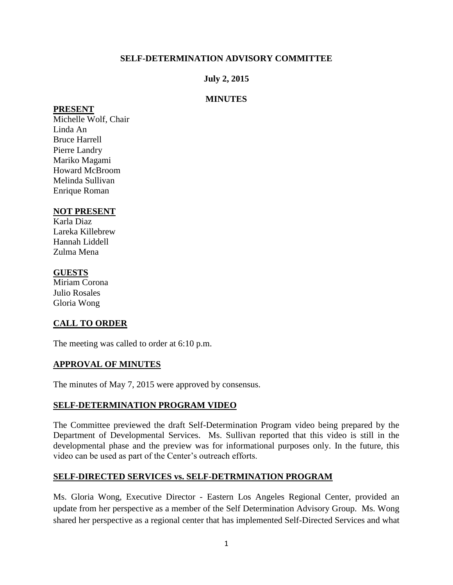## **SELF-DETERMINATION ADVISORY COMMITTEE**

## **July 2, 2015**

## **MINUTES**

#### **PRESENT**

Michelle Wolf, Chair Linda An Bruce Harrell Pierre Landry Mariko Magami Howard McBroom Melinda Sullivan Enrique Roman

#### **NOT PRESENT**

Karla Diaz Lareka Killebrew Hannah Liddell Zulma Mena

### **GUESTS**

Miriam Corona Julio Rosales Gloria Wong

## **CALL TO ORDER**

The meeting was called to order at 6:10 p.m.

### **APPROVAL OF MINUTES**

The minutes of May 7, 2015 were approved by consensus.

### **SELF-DETERMINATION PROGRAM VIDEO**

The Committee previewed the draft Self-Determination Program video being prepared by the Department of Developmental Services. Ms. Sullivan reported that this video is still in the developmental phase and the preview was for informational purposes only. In the future, this video can be used as part of the Center's outreach efforts.

### **SELF-DIRECTED SERVICES vs. SELF-DETRMINATION PROGRAM**

Ms. Gloria Wong, Executive Director - Eastern Los Angeles Regional Center, provided an update from her perspective as a member of the Self Determination Advisory Group. Ms. Wong shared her perspective as a regional center that has implemented Self-Directed Services and what